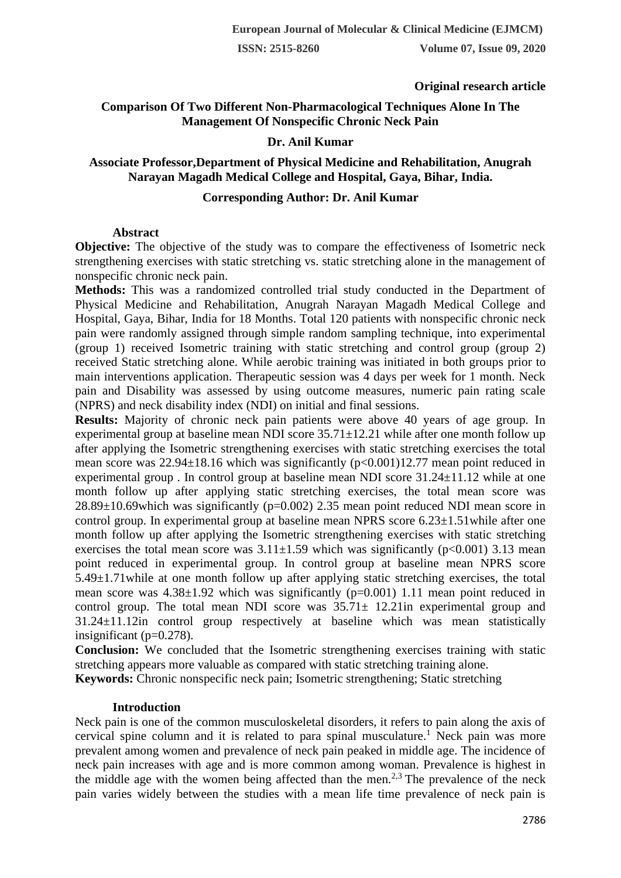**ISSN: 2515-8260 Volume 07, Issue 09, 2020**

# **Original research article**

# **Comparison Of Two Different Non-Pharmacological Techniques Alone In The Management Of Nonspecific Chronic Neck Pain**

# **Dr. Anil Kumar**

# **Associate Professor,Department of Physical Medicine and Rehabilitation, Anugrah Narayan Magadh Medical College and Hospital, Gaya, Bihar, India.**

#### **Corresponding Author: Dr. Anil Kumar**

### **Abstract**

**Objective:** The objective of the study was to compare the effectiveness of Isometric neck strengthening exercises with static stretching vs. static stretching alone in the management of nonspecific chronic neck pain.

**Methods:** This was a randomized controlled trial study conducted in the Department of Physical Medicine and Rehabilitation, Anugrah Narayan Magadh Medical College and Hospital, Gaya, Bihar, India for 18 Months. Total 120 patients with nonspecific chronic neck pain were randomly assigned through simple random sampling technique, into experimental (group 1) received Isometric training with static stretching and control group (group 2) received Static stretching alone. While aerobic training was initiated in both groups prior to main interventions application. Therapeutic session was 4 days per week for 1 month. Neck pain and Disability was assessed by using outcome measures, numeric pain rating scale (NPRS) and neck disability index (NDI) on initial and final sessions.

**Results:** Majority of chronic neck pain patients were above 40 years of age group. In experimental group at baseline mean NDI score 35.71±12.21 while after one month follow up after applying the Isometric strengthening exercises with static stretching exercises the total mean score was  $22.94\pm18.16$  which was significantly ( $p<0.001$ )12.77 mean point reduced in experimental group . In control group at baseline mean NDI score 31.24±11.12 while at one month follow up after applying static stretching exercises, the total mean score was 28.89±10.69which was significantly (p=0.002) 2.35 mean point reduced NDI mean score in control group. In experimental group at baseline mean NPRS score  $6.23\pm1.51$  while after one month follow up after applying the Isometric strengthening exercises with static stretching exercises the total mean score was  $3.11\pm1.59$  which was significantly (p<0.001) 3.13 mean point reduced in experimental group. In control group at baseline mean NPRS score 5.49±1.71while at one month follow up after applying static stretching exercises, the total mean score was  $4.38\pm1.92$  which was significantly ( $p=0.001$ ) 1.11 mean point reduced in control group. The total mean NDI score was  $35.71 \pm 12.21$  in experimental group and 31.24±11.12in control group respectively at baseline which was mean statistically insignificant  $(p=0.278)$ .

**Conclusion:** We concluded that the Isometric strengthening exercises training with static stretching appears more valuable as compared with static stretching training alone.

**Keywords:** Chronic nonspecific neck pain; Isometric strengthening; Static stretching

#### **Introduction**

Neck pain is one of the common musculoskeletal disorders, it refers to pain along the axis of cervical spine column and it is related to para spinal musculature.<sup>1</sup> Neck pain was more prevalent among women and prevalence of neck pain peaked in middle age. The incidence of neck pain increases with age and is more common among woman. Prevalence is highest in the middle age with the women being affected than the men.<sup>2,3</sup> The prevalence of the neck pain varies widely between the studies with a mean life time prevalence of neck pain is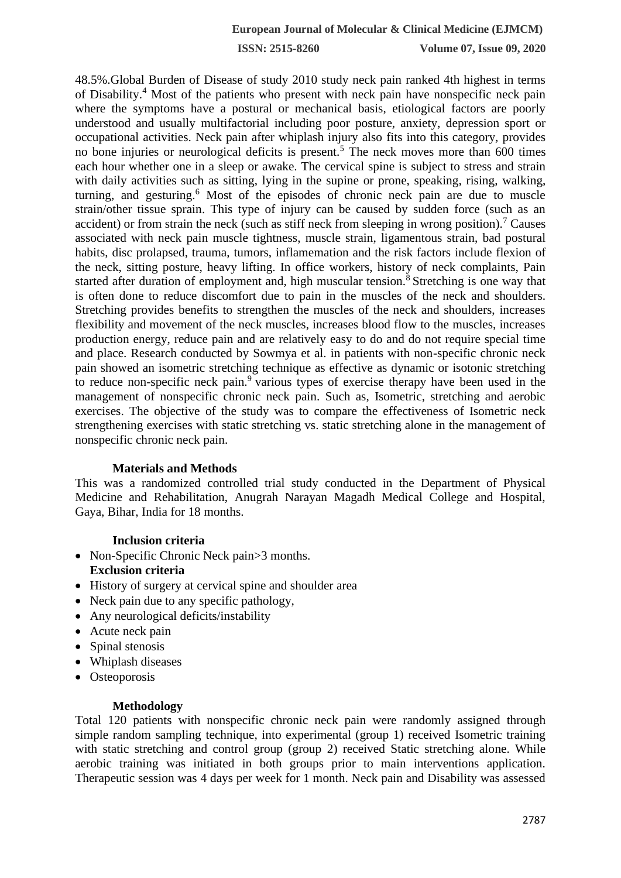**ISSN: 2515-8260 Volume 07, Issue 09, 2020**

48.5%.Global Burden of Disease of study 2010 study neck pain ranked 4th highest in terms of Disability.<sup>4</sup> Most of the patients who present with neck pain have nonspecific neck pain where the symptoms have a postural or mechanical basis, etiological factors are poorly understood and usually multifactorial including poor posture, anxiety, depression sport or occupational activities. Neck pain after whiplash injury also fits into this category, provides no bone injuries or neurological deficits is present.<sup>5</sup> The neck moves more than 600 times each hour whether one in a sleep or awake. The cervical spine is subject to stress and strain with daily activities such as sitting, lying in the supine or prone, speaking, rising, walking, turning, and gesturing.<sup>6</sup> Most of the episodes of chronic neck pain are due to muscle strain/other tissue sprain. This type of injury can be caused by sudden force (such as an accident) or from strain the neck (such as stiff neck from sleeping in wrong position).<sup>7</sup> Causes associated with neck pain muscle tightness, muscle strain, ligamentous strain, bad postural habits, disc prolapsed, trauma, tumors, inflamemation and the risk factors include flexion of the neck, sitting posture, heavy lifting. In office workers, history of neck complaints, Pain started after duration of employment and, high muscular tension.<sup>8</sup> Stretching is one way that is often done to reduce discomfort due to pain in the muscles of the neck and shoulders. Stretching provides benefits to strengthen the muscles of the neck and shoulders, increases flexibility and movement of the neck muscles, increases blood flow to the muscles, increases production energy, reduce pain and are relatively easy to do and do not require special time and place. Research conducted by Sowmya et al. in patients with non-specific chronic neck pain showed an isometric stretching technique as effective as dynamic or isotonic stretching to reduce non-specific neck pain.<sup>9</sup> various types of exercise therapy have been used in the management of nonspecific chronic neck pain. Such as, Isometric, stretching and aerobic exercises. The objective of the study was to compare the effectiveness of Isometric neck strengthening exercises with static stretching vs. static stretching alone in the management of nonspecific chronic neck pain.

### **Materials and Methods**

This was a randomized controlled trial study conducted in the Department of Physical Medicine and Rehabilitation, Anugrah Narayan Magadh Medical College and Hospital, Gaya, Bihar, India for 18 months.

### **Inclusion criteria**

- Non-Specific Chronic Neck pain>3 months. **Exclusion criteria**
- History of surgery at cervical spine and shoulder area
- Neck pain due to any specific pathology,
- Any neurological deficits/instability
- Acute neck pain
- Spinal stenosis
- Whiplash diseases
- Osteoporosis

### **Methodology**

Total 120 patients with nonspecific chronic neck pain were randomly assigned through simple random sampling technique, into experimental (group 1) received Isometric training with static stretching and control group (group 2) received Static stretching alone. While aerobic training was initiated in both groups prior to main interventions application. Therapeutic session was 4 days per week for 1 month. Neck pain and Disability was assessed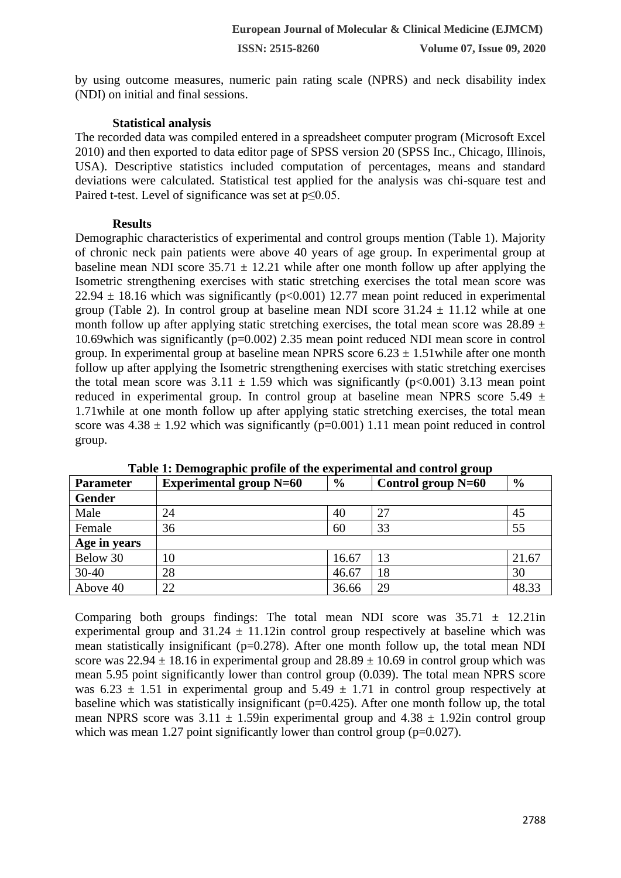by using outcome measures, numeric pain rating scale (NPRS) and neck disability index (NDI) on initial and final sessions.

## **Statistical analysis**

The recorded data was compiled entered in a spreadsheet computer program (Microsoft Excel 2010) and then exported to data editor page of SPSS version 20 (SPSS Inc., Chicago, Illinois, USA). Descriptive statistics included computation of percentages, means and standard deviations were calculated. Statistical test applied for the analysis was chi-square test and Paired t-test. Level of significance was set at p≤0.05.

# **Results**

Demographic characteristics of experimental and control groups mention (Table 1). Majority of chronic neck pain patients were above 40 years of age group. In experimental group at baseline mean NDI score  $35.71 \pm 12.21$  while after one month follow up after applying the Isometric strengthening exercises with static stretching exercises the total mean score was 22.94  $\pm$  18.16 which was significantly (p<0.001) 12.77 mean point reduced in experimental group (Table 2). In control group at baseline mean NDI score  $31.24 \pm 11.12$  while at one month follow up after applying static stretching exercises, the total mean score was  $28.89 \pm$ 10.69which was significantly (p=0.002) 2.35 mean point reduced NDI mean score in control group. In experimental group at baseline mean NPRS score  $6.23 \pm 1.51$  while after one month follow up after applying the Isometric strengthening exercises with static stretching exercises the total mean score was  $3.11 \pm 1.59$  which was significantly (p<0.001) 3.13 mean point reduced in experimental group. In control group at baseline mean NPRS score  $5.49 \pm 1$ 1.71while at one month follow up after applying static stretching exercises, the total mean score was  $4.38 \pm 1.92$  which was significantly (p=0.001) 1.11 mean point reduced in control group.

| <b>Parameter</b> | <b>Experimental group N=60</b> | $\frac{6}{9}$ | Control group $N=60$ | $\frac{6}{6}$ |
|------------------|--------------------------------|---------------|----------------------|---------------|
| <b>Gender</b>    |                                |               |                      |               |
| Male             | 24                             | 40            | 27                   | 45            |
| Female           | 36                             | 60            | 33                   | 55            |
| Age in years     |                                |               |                      |               |
| Below 30         | 10                             | 16.67         | 13                   | 21.67         |
| $30 - 40$        | 28                             | 46.67         | 18                   | 30            |
| Above 40         | 22                             | 36.66         | 29                   | 48.33         |

**Table 1: Demographic profile of the experimental and control group**

Comparing both groups findings: The total mean NDI score was  $35.71 \pm 12.21$ in experimental group and  $31.24 \pm 11.12$  in control group respectively at baseline which was mean statistically insignificant ( $p=0.278$ ). After one month follow up, the total mean NDI score was  $22.94 \pm 18.16$  in experimental group and  $28.89 \pm 10.69$  in control group which was mean 5.95 point significantly lower than control group (0.039). The total mean NPRS score was  $6.23 \pm 1.51$  in experimental group and  $5.49 \pm 1.71$  in control group respectively at baseline which was statistically insignificant (p=0.425). After one month follow up, the total mean NPRS score was  $3.11 \pm 1.59$ in experimental group and  $4.38 \pm 1.92$ in control group which was mean 1.27 point significantly lower than control group ( $p=0.027$ ).

 $\overline{\phantom{a}}$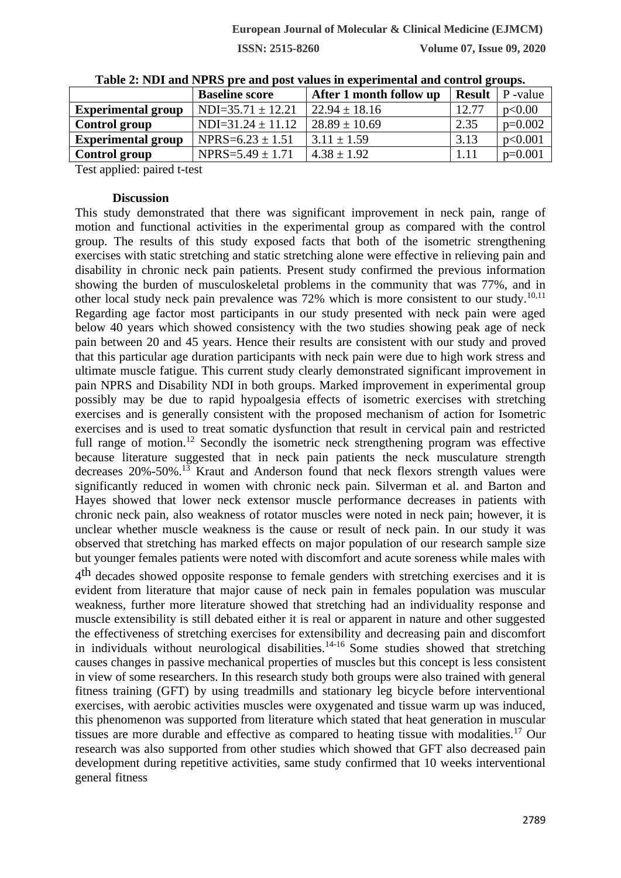**ISSN: 2515-8260 Volume 07, Issue 09, 2020**

|                           | <b>Baseline score</b> | After 1 month follow up | <b>Result</b> | P -value  |
|---------------------------|-----------------------|-------------------------|---------------|-----------|
| <b>Experimental group</b> | $NDI=35.71 \pm 12.21$ | $22.94 \pm 18.16$       | 12.77         | p<0.00    |
| Control group             | $NDI=31.24 \pm 11.12$ | $28.89 \pm 10.69$       | 2.35          | $p=0.002$ |
| <b>Experimental group</b> | NPRS= $6.23 \pm 1.51$ | $3.11 \pm 1.59$         | 3.13          | p<0.001   |
| Control group             | NPRS= $5.49 \pm 1.71$ | $4.38 \pm 1.92$         | 1.11          | $p=0.001$ |

**Table 2: NDI and NPRS pre and post values in experimental and control groups.**

Test applied: paired t-test

#### **Discussion**

This study demonstrated that there was significant improvement in neck pain, range of motion and functional activities in the experimental group as compared with the control group. The results of this study exposed facts that both of the isometric strengthening exercises with static stretching and static stretching alone were effective in relieving pain and disability in chronic neck pain patients. Present study confirmed the previous information showing the burden of musculoskeletal problems in the community that was 77%, and in other local study neck pain prevalence was 72% which is more consistent to our study.<sup>10,11</sup> Regarding age factor most participants in our study presented with neck pain were aged below 40 years which showed consistency with the two studies showing peak age of neck pain between 20 and 45 years. Hence their results are consistent with our study and proved that this particular age duration participants with neck pain were due to high work stress and ultimate muscle fatigue. This current study clearly demonstrated significant improvement in pain NPRS and Disability NDI in both groups. Marked improvement in experimental group possibly may be due to rapid hypoalgesia effects of isometric exercises with stretching exercises and is generally consistent with the proposed mechanism of action for Isometric exercises and is used to treat somatic dysfunction that result in cervical pain and restricted full range of motion.<sup>12</sup> Secondly the isometric neck strengthening program was effective because literature suggested that in neck pain patients the neck musculature strength decreases 20%-50%.<sup>13</sup> Kraut and Anderson found that neck flexors strength values were significantly reduced in women with chronic neck pain. Silverman et al. and Barton and Hayes showed that lower neck extensor muscle performance decreases in patients with chronic neck pain, also weakness of rotator muscles were noted in neck pain; however, it is unclear whether muscle weakness is the cause or result of neck pain. In our study it was observed that stretching has marked effects on major population of our research sample size but younger females patients were noted with discomfort and acute soreness while males with

4<sup>th</sup> decades showed opposite response to female genders with stretching exercises and it is evident from literature that major cause of neck pain in females population was muscular weakness, further more literature showed that stretching had an individuality response and muscle extensibility is still debated either it is real or apparent in nature and other suggested the effectiveness of stretching exercises for extensibility and decreasing pain and discomfort in individuals without neurological disabilities.<sup>14-16</sup> Some studies showed that stretching causes changes in passive mechanical properties of muscles but this concept is less consistent in view of some researchers. In this research study both groups were also trained with general fitness training (GFT) by using treadmills and stationary leg bicycle before interventional exercises, with aerobic activities muscles were oxygenated and tissue warm up was induced, this phenomenon was supported from literature which stated that heat generation in muscular tissues are more durable and effective as compared to heating tissue with modalities.<sup>17</sup> Our research was also supported from other studies which showed that GFT also decreased pain development during repetitive activities, same study confirmed that 10 weeks interventional general fitness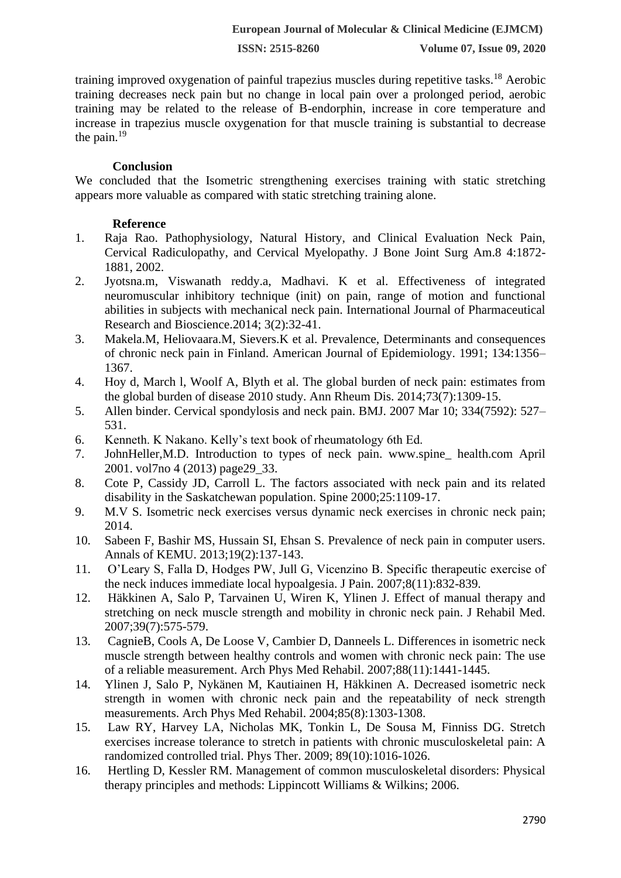training improved oxygenation of painful trapezius muscles during repetitive tasks.<sup>18</sup> Aerobic training decreases neck pain but no change in local pain over a prolonged period, aerobic training may be related to the release of B-endorphin, increase in core temperature and increase in trapezius muscle oxygenation for that muscle training is substantial to decrease the pain. $^{19}$ 

## **Conclusion**

We concluded that the Isometric strengthening exercises training with static stretching appears more valuable as compared with static stretching training alone.

# **Reference**

- 1. Raja Rao. Pathophysiology, Natural History, and Clinical Evaluation Neck Pain, Cervical Radiculopathy, and Cervical Myelopathy. J Bone Joint Surg Am.8 4:1872- 1881, 2002.
- 2. Jyotsna.m, Viswanath reddy.a, Madhavi. K et al. Effectiveness of integrated neuromuscular inhibitory technique (init) on pain, range of motion and functional abilities in subjects with mechanical neck pain. International Journal of Pharmaceutical Research and Bioscience.2014; 3(2):32-41.
- 3. Makela.M, Heliovaara.M, Sievers.K et al. Prevalence, Determinants and consequences of chronic neck pain in Finland. American Journal of Epidemiology. 1991; 134:1356– 1367.
- 4. Hoy d, March l, Woolf A, Blyth et al. The global burden of neck pain: estimates from the global burden of disease 2010 study. Ann Rheum Dis. 2014;73(7):1309-15.
- 5. Allen binder. Cervical spondylosis and neck pain. BMJ. 2007 Mar 10; 334(7592): 527– 531.
- 6. Kenneth. K Nakano. Kelly's text book of rheumatology 6th Ed.
- 7. JohnHeller,M.D. Introduction to types of neck pain. www.spine\_ health.com April 2001. vol7no 4 (2013) page29\_33.
- 8. Cote P, Cassidy JD, Carroll L. The factors associated with neck pain and its related disability in the Saskatchewan population. Spine 2000;25:1109-17.
- 9. M.V S. Isometric neck exercises versus dynamic neck exercises in chronic neck pain; 2014.
- 10. Sabeen F, Bashir MS, Hussain SI, Ehsan S. Prevalence of neck pain in computer users. Annals of KEMU. 2013;19(2):137-143.
- 11. O'Leary S, Falla D, Hodges PW, Jull G, Vicenzino B. Specific therapeutic exercise of the neck induces immediate local hypoalgesia. J Pain. 2007;8(11):832-839.
- 12. Häkkinen A, Salo P, Tarvainen U, Wiren K, Ylinen J. Effect of manual therapy and stretching on neck muscle strength and mobility in chronic neck pain. J Rehabil Med. 2007;39(7):575-579.
- 13. CagnieB, Cools A, De Loose V, Cambier D, Danneels L. Differences in isometric neck muscle strength between healthy controls and women with chronic neck pain: The use of a reliable measurement. Arch Phys Med Rehabil. 2007;88(11):1441-1445.
- 14. Ylinen J, Salo P, Nykänen M, Kautiainen H, Häkkinen A. Decreased isometric neck strength in women with chronic neck pain and the repeatability of neck strength measurements. Arch Phys Med Rehabil. 2004;85(8):1303-1308.
- 15. Law RY, Harvey LA, Nicholas MK, Tonkin L, De Sousa M, Finniss DG. Stretch exercises increase tolerance to stretch in patients with chronic musculoskeletal pain: A randomized controlled trial. Phys Ther. 2009; 89(10):1016-1026.
- 16. Hertling D, Kessler RM. Management of common musculoskeletal disorders: Physical therapy principles and methods: Lippincott Williams & Wilkins; 2006.